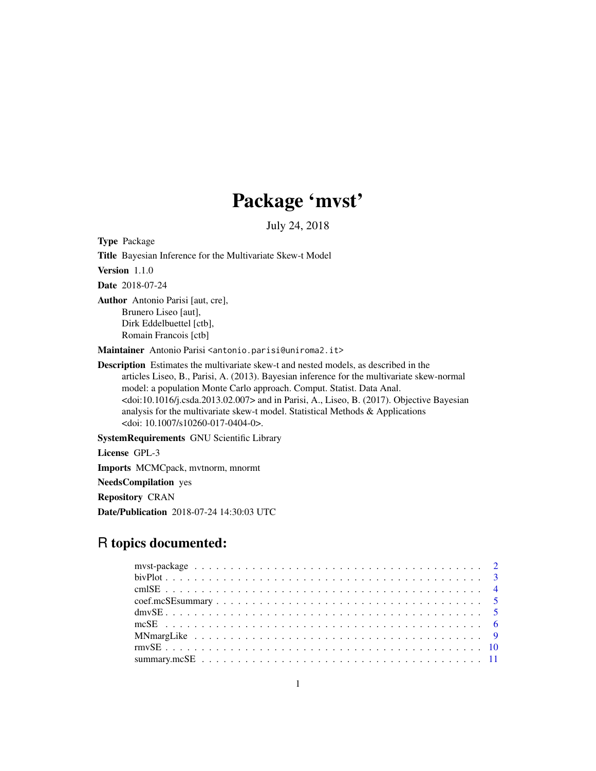# Package 'mvst'

July 24, 2018

Type Package

Title Bayesian Inference for the Multivariate Skew-t Model

Version 1.1.0

Date 2018-07-24

Author Antonio Parisi [aut, cre], Brunero Liseo [aut], Dirk Eddelbuettel [ctb], Romain Francois [ctb]

Maintainer Antonio Parisi <antonio.parisi@uniroma2.it>

Description Estimates the multivariate skew-t and nested models, as described in the articles Liseo, B., Parisi, A. (2013). Bayesian inference for the multivariate skew-normal model: a population Monte Carlo approach. Comput. Statist. Data Anal.  $\alpha$ doi:10.1016/j.csda.2013.02.007> and in Parisi, A., Liseo, B. (2017). Objective Bayesian analysis for the multivariate skew-t model. Statistical Methods & Applications <doi: 10.1007/s10260-017-0404-0>.

SystemRequirements GNU Scientific Library

License GPL-3 Imports MCMCpack, mvtnorm, mnormt

NeedsCompilation yes

Repository CRAN

Date/Publication 2018-07-24 14:30:03 UTC

## R topics documented: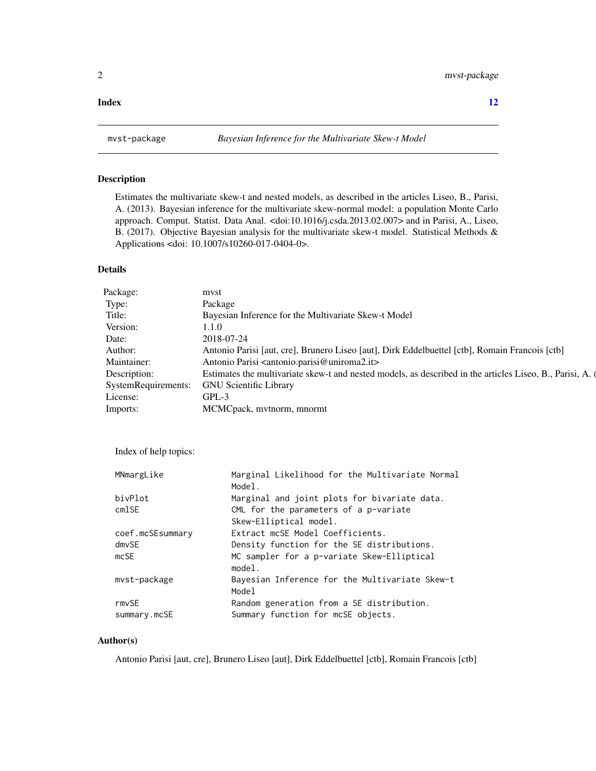#### <span id="page-1-0"></span>**Index** [12](#page-11-0)

#### Description

Estimates the multivariate skew-t and nested models, as described in the articles Liseo, B., Parisi, A. (2013). Bayesian inference for the multivariate skew-normal model: a population Monte Carlo approach. Comput. Statist. Data Anal. <doi:10.1016/j.csda.2013.02.007> and in Parisi, A., Liseo, B. (2017). Objective Bayesian analysis for the multivariate skew-t model. Statistical Methods & Applications <doi: 10.1007/s10260-017-0404-0>.

#### Details

| Package:     | mvst                                                                                                    |
|--------------|---------------------------------------------------------------------------------------------------------|
| Type:        | Package                                                                                                 |
| Title:       | Bayesian Inference for the Multivariate Skew-t Model                                                    |
| Version:     | 1.1.0                                                                                                   |
| Date:        | 2018-07-24                                                                                              |
| Author:      | Antonio Parisi [aut, cre], Brunero Liseo [aut], Dirk Eddelbuettel [ctb], Romain Francois [ctb]          |
| Maintainer:  | Antonio Parisi <antonio.parisi@uniroma2.it></antonio.parisi@uniroma2.it>                                |
| Description: | Estimates the multivariate skew-t and nested models, as described in the articles Liseo, B., Parisi, A. |
|              | SystemRequirements: GNU Scientific Library                                                              |
| License:     | $GPL-3$                                                                                                 |
| Imports:     | MCMCpack, mvtnorm, mnormt                                                                               |

Index of help topics:

| MNmargLike       | Marginal Likelihood for the Multivariate Normal<br>Model. |
|------------------|-----------------------------------------------------------|
| bivPlot          | Marginal and joint plots for bivariate data.              |
| cmlSE            | CML for the parameters of a $p$ -variate                  |
|                  | Skew-Elliptical model.                                    |
| coef.mcSEsummary | Extract mcSE Model Coefficients.                          |
| dmvSE            | Density function for the SE distributions.                |
| mcSE             | MC sampler for a p-variate Skew-Elliptical<br>model.      |
| mvst-package     | Bayesian Inference for the Multivariate Skew-t<br>Model   |
| rmvSE            | Random generation from a SE distribution.                 |
| summary.mcSE     | Summary function for mcSE objects.                        |

#### Author(s)

Antonio Parisi [aut, cre], Brunero Liseo [aut], Dirk Eddelbuettel [ctb], Romain Francois [ctb]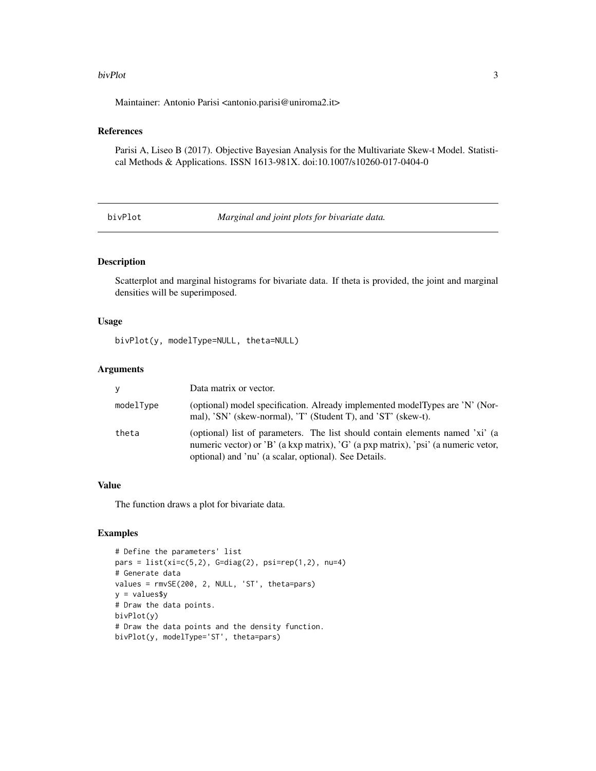#### <span id="page-2-0"></span>bivPlot 3

Maintainer: Antonio Parisi <antonio.parisi@uniroma2.it>

#### References

Parisi A, Liseo B (2017). Objective Bayesian Analysis for the Multivariate Skew-t Model. Statistical Methods & Applications. ISSN 1613-981X. doi:10.1007/s10260-017-0404-0

bivPlot *Marginal and joint plots for bivariate data.*

#### Description

Scatterplot and marginal histograms for bivariate data. If theta is provided, the joint and marginal densities will be superimposed.

#### Usage

bivPlot(y, modelType=NULL, theta=NULL)

#### Arguments

| V.        | Data matrix or vector.                                                                                                                                                                                                       |
|-----------|------------------------------------------------------------------------------------------------------------------------------------------------------------------------------------------------------------------------------|
| modelType | (optional) model specification. Already implemented modelTypes are 'N' (Nor-<br>mal), 'SN' (skew-normal), 'T' (Student T), and 'ST' (skew-t).                                                                                |
| theta     | (optional) list of parameters. The list should contain elements named 'xi' (a<br>numeric vector) or 'B' (a kxp matrix), 'G' (a pxp matrix), 'psi' (a numeric vetor,<br>optional) and 'nu' (a scalar, optional). See Details. |

#### Value

The function draws a plot for bivariate data.

```
# Define the parameters' list
pars = list(xi=c(5,2), G=diag(2), psi=rep(1,2), nu=4)# Generate data
values = rmvSE(200, 2, NULL, 'ST', theta=pars)
y = values$y
# Draw the data points.
bivPlot(y)
# Draw the data points and the density function.
bivPlot(y, modelType='ST', theta=pars)
```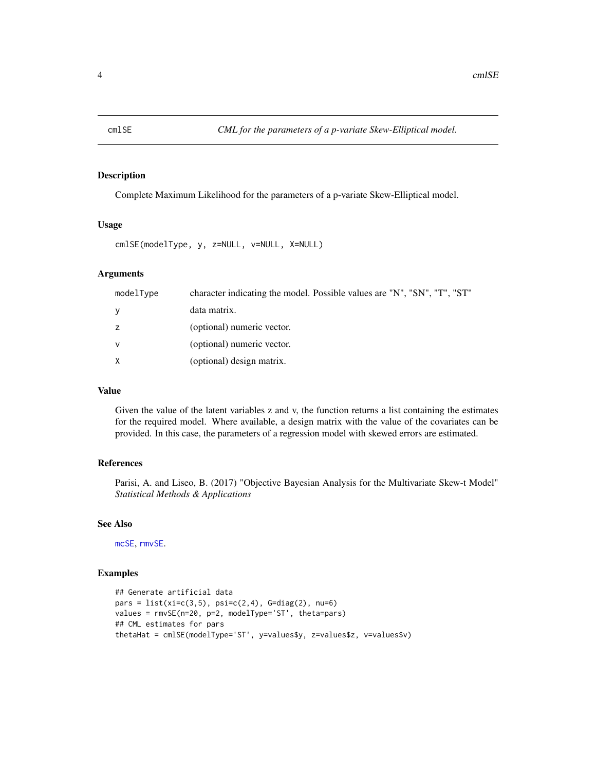<span id="page-3-1"></span><span id="page-3-0"></span>

Complete Maximum Likelihood for the parameters of a p-variate Skew-Elliptical model.

#### Usage

cmlSE(modelType, y, z=NULL, v=NULL, X=NULL)

#### Arguments

| modelType | character indicating the model. Possible values are "N", "SN", "T", "ST" |
|-----------|--------------------------------------------------------------------------|
| <b>y</b>  | data matrix.                                                             |
| z         | (optional) numeric vector.                                               |
| <b>V</b>  | (optional) numeric vector.                                               |
| X         | (optional) design matrix.                                                |

#### Value

Given the value of the latent variables z and v, the function returns a list containing the estimates for the required model. Where available, a design matrix with the value of the covariates can be provided. In this case, the parameters of a regression model with skewed errors are estimated.

#### References

Parisi, A. and Liseo, B. (2017) "Objective Bayesian Analysis for the Multivariate Skew-t Model" *Statistical Methods & Applications*

#### See Also

[mcSE](#page-5-1), [rmvSE](#page-9-1).

```
## Generate artificial data
pars = list(xi=c(3,5), psi=c(2,4), G=diag(2), nu=6)values = rmvSE(n=20, p=2, modelType='ST', theta=pars)
## CML estimates for pars
thetaHat = cmlSE(modelType='ST', y=values$y, z=values$z, v=values$v)
```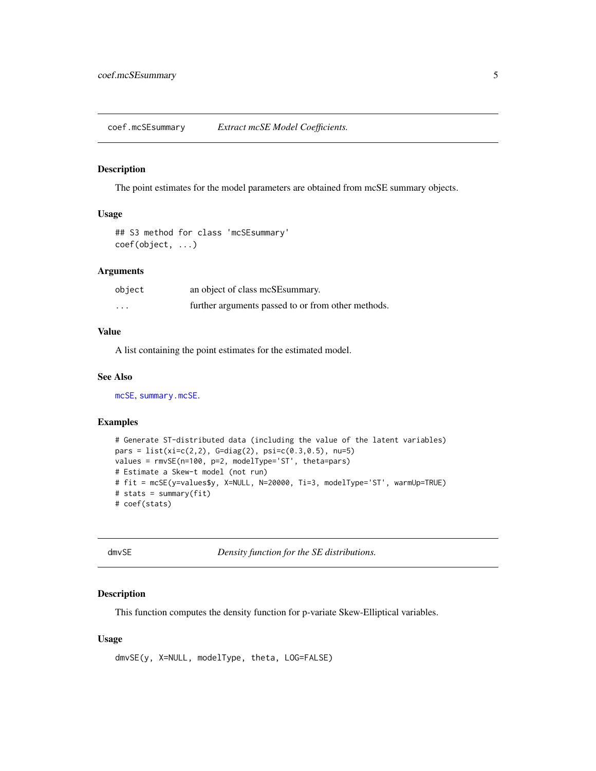<span id="page-4-2"></span><span id="page-4-0"></span>coef.mcSEsummary *Extract mcSE Model Coefficients.*

#### Description

The point estimates for the model parameters are obtained from mcSE summary objects.

#### Usage

```
## S3 method for class 'mcSEsummary'
coef(object, ...)
```
#### Arguments

| object   | an object of class mcSE summary.                   |
|----------|----------------------------------------------------|
| $\cdots$ | further arguments passed to or from other methods. |

#### Value

A list containing the point estimates for the estimated model.

#### See Also

[mcSE](#page-5-1), [summary.mcSE](#page-10-1).

#### Examples

```
# Generate ST-distributed data (including the value of the latent variables)
pars = list(xi=c(2,2), G=diag(2), psi=c(0.3,0.5), nu=5)values = rmvSE(n=100, p=2, modelType='ST', theta=pars)
# Estimate a Skew-t model (not run)
# fit = mcSE(y=values$y, X=NULL, N=20000, Ti=3, modelType='ST', warmUp=TRUE)
# stats = summary(fit)
# coef(stats)
```
<span id="page-4-1"></span>dmvSE *Density function for the SE distributions.*

#### Description

This function computes the density function for p-variate Skew-Elliptical variables.

#### Usage

```
dmvSE(y, X=NULL, modelType, theta, LOG=FALSE)
```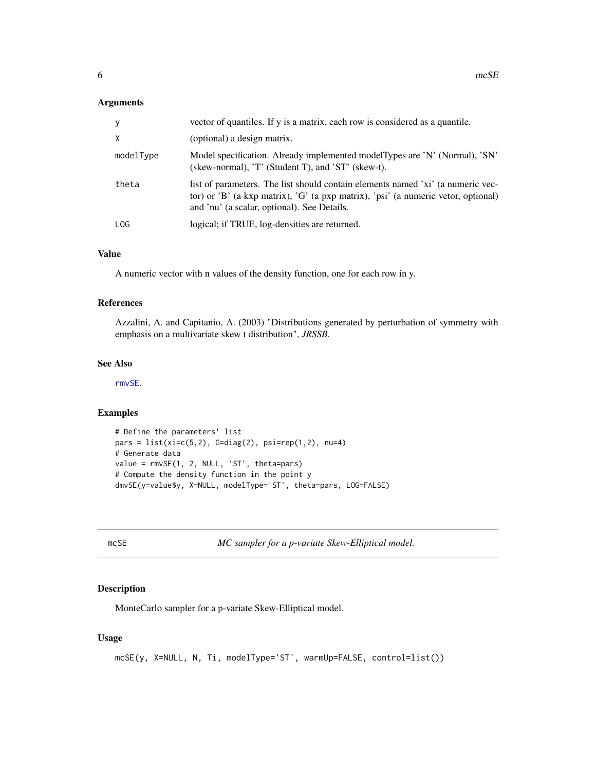#### <span id="page-5-0"></span>Arguments

| y         | vector of quantiles. If y is a matrix, each row is considered as a quantile.                                                                                                                                        |
|-----------|---------------------------------------------------------------------------------------------------------------------------------------------------------------------------------------------------------------------|
| X         | (optional) a design matrix.                                                                                                                                                                                         |
| modelType | Model specification. Already implemented modelTypes are 'N' (Normal), 'SN'<br>(skew-normal), 'T' (Student T), and 'ST' (skew-t).                                                                                    |
| theta     | list of parameters. The list should contain elements named 'xi' (a numeric vec-<br>tor) or 'B' (a kxp matrix), 'G' (a pxp matrix), 'psi' (a numeric vetor, optional)<br>and 'nu' (a scalar, optional). See Details. |
| LOG.      | logical; if TRUE, log-densities are returned.                                                                                                                                                                       |

#### Value

A numeric vector with n values of the density function, one for each row in y.

#### References

Azzalini, A. and Capitanio, A. (2003) "Distributions generated by perturbation of symmetry with emphasis on a multivariate skew t distribution", *JRSSB*.

#### See Also

[rmvSE](#page-9-1).

#### Examples

```
# Define the parameters' list
pars = list(xi=c(5,2), G=diag(2), psi=rep(1,2), nu=4)# Generate data
value = rmvSE(1, 2, NULL, 'ST', theta=pars)
# Compute the density function in the point y
dmvSE(y=value$y, X=NULL, modelType='ST', theta=pars, LOG=FALSE)
```
<span id="page-5-1"></span>mcSE *MC sampler for a p-variate Skew-Elliptical model.*

#### Description

MonteCarlo sampler for a p-variate Skew-Elliptical model.

#### Usage

```
mcSE(y, X=NULL, N, Ti, modelType='ST', warmUp=FALSE, control=list())
```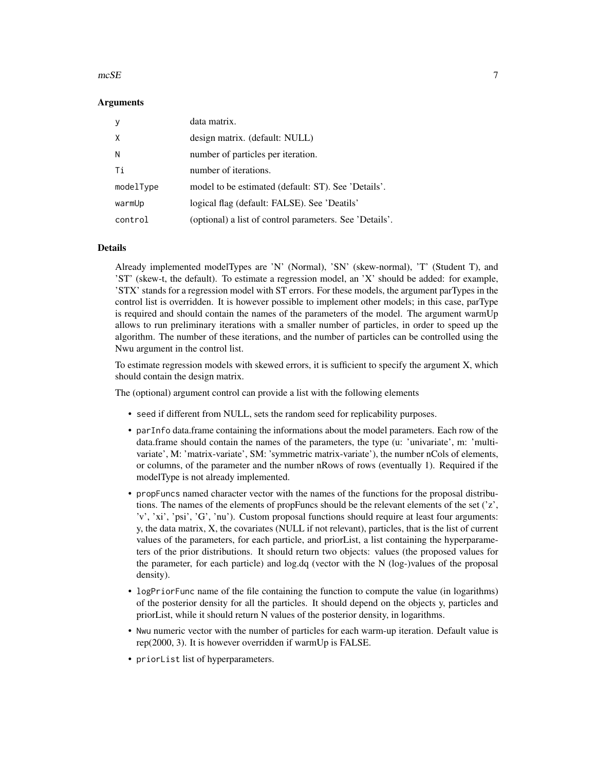#### $mCSE$  7

#### Arguments

| y         | data matrix.                                            |
|-----------|---------------------------------------------------------|
| Χ         | design matrix. (default: NULL)                          |
| N         | number of particles per iteration.                      |
| Ti        | number of iterations.                                   |
| modelType | model to be estimated (default: ST). See 'Details'.     |
| warmUp    | logical flag (default: FALSE). See 'Deatils'            |
| control   | (optional) a list of control parameters. See 'Details'. |

#### Details

Already implemented modelTypes are 'N' (Normal), 'SN' (skew-normal), 'T' (Student T), and 'ST' (skew-t, the default). To estimate a regression model, an 'X' should be added: for example, 'STX' stands for a regression model with ST errors. For these models, the argument parTypes in the control list is overridden. It is however possible to implement other models; in this case, parType is required and should contain the names of the parameters of the model. The argument warmUp allows to run preliminary iterations with a smaller number of particles, in order to speed up the algorithm. The number of these iterations, and the number of particles can be controlled using the Nwu argument in the control list.

To estimate regression models with skewed errors, it is sufficient to specify the argument X, which should contain the design matrix.

The (optional) argument control can provide a list with the following elements

- seed if different from NULL, sets the random seed for replicability purposes.
- parInfo data.frame containing the informations about the model parameters. Each row of the data.frame should contain the names of the parameters, the type (u: 'univariate', m: 'multivariate', M: 'matrix-variate', SM: 'symmetric matrix-variate'), the number nCols of elements, or columns, of the parameter and the number nRows of rows (eventually 1). Required if the modelType is not already implemented.
- propFuncs named character vector with the names of the functions for the proposal distributions. The names of the elements of propFuncs should be the relevant elements of the set ('z', 'v', 'xi', 'psi', 'G', 'nu'). Custom proposal functions should require at least four arguments: y, the data matrix, X, the covariates (NULL if not relevant), particles, that is the list of current values of the parameters, for each particle, and priorList, a list containing the hyperparameters of the prior distributions. It should return two objects: values (the proposed values for the parameter, for each particle) and log.dq (vector with the N (log-)values of the proposal density).
- logPriorFunc name of the file containing the function to compute the value (in logarithms) of the posterior density for all the particles. It should depend on the objects y, particles and priorList, while it should return N values of the posterior density, in logarithms.
- Nwu numeric vector with the number of particles for each warm-up iteration. Default value is rep(2000, 3). It is however overridden if warmUp is FALSE.
- priorList list of hyperparameters.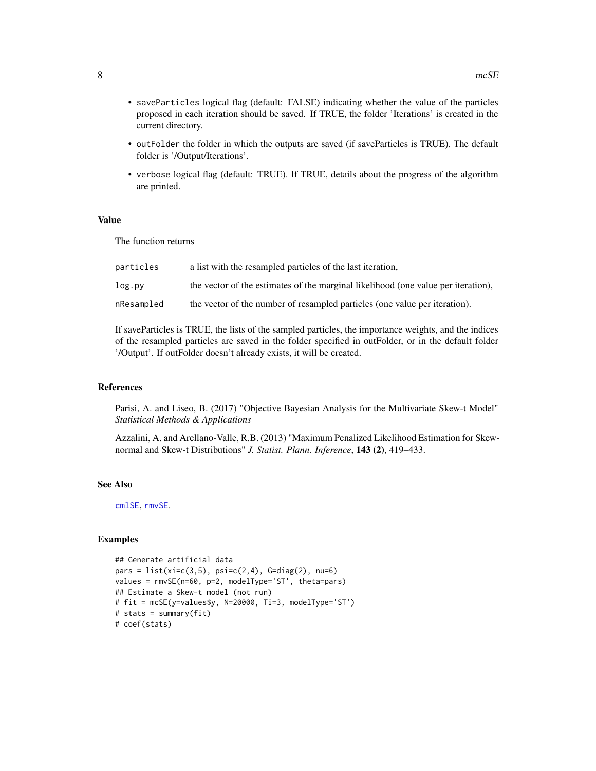- <span id="page-7-0"></span>• saveParticles logical flag (default: FALSE) indicating whether the value of the particles proposed in each iteration should be saved. If TRUE, the folder 'Iterations' is created in the current directory.
- outFolder the folder in which the outputs are saved (if saveParticles is TRUE). The default folder is '/Output/Iterations'.
- verbose logical flag (default: TRUE). If TRUE, details about the progress of the algorithm are printed.

#### Value

The function returns

| particles  | a list with the resampled particles of the last iteration,                        |
|------------|-----------------------------------------------------------------------------------|
| log.pv     | the vector of the estimates of the marginal likelihood (one value per iteration). |
| nResampled | the vector of the number of resampled particles (one value per iteration).        |

If saveParticles is TRUE, the lists of the sampled particles, the importance weights, and the indices of the resampled particles are saved in the folder specified in outFolder, or in the default folder '/Output'. If outFolder doesn't already exists, it will be created.

#### References

Parisi, A. and Liseo, B. (2017) "Objective Bayesian Analysis for the Multivariate Skew-t Model" *Statistical Methods & Applications*

Azzalini, A. and Arellano-Valle, R.B. (2013) "Maximum Penalized Likelihood Estimation for Skewnormal and Skew-t Distributions" *J. Statist. Plann. Inference*, 143 (2), 419–433.

#### See Also

[cmlSE](#page-3-1), [rmvSE](#page-9-1).

```
## Generate artificial data
pars = list(xi=c(3,5), psi=c(2,4), G=diag(2), nu=6)values = rmvSE(n=60, p=2, modelType='ST', theta=pars)
## Estimate a Skew-t model (not run)
# fit = mcSE(y=values$y, N=20000, Ti=3, modelType='ST')
# stats = summary(fit)
# coef(stats)
```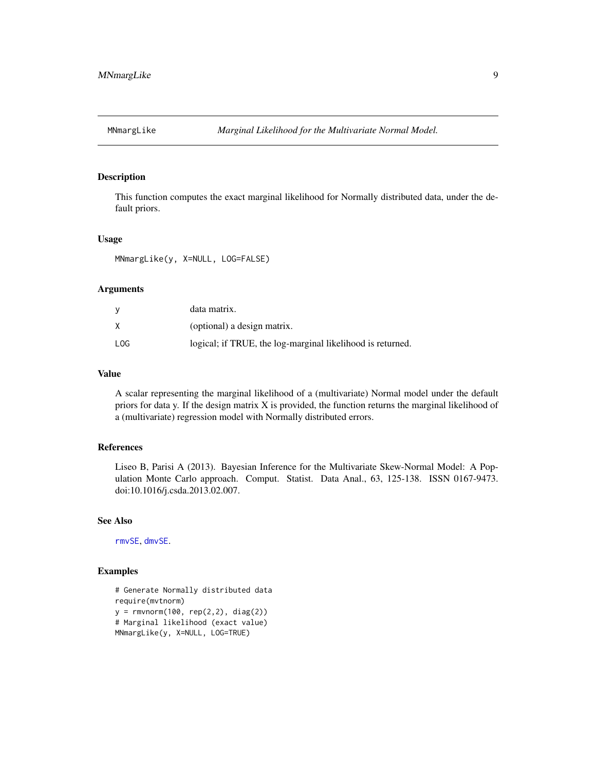<span id="page-8-0"></span>

This function computes the exact marginal likelihood for Normally distributed data, under the default priors.

#### Usage

MNmargLike(y, X=NULL, LOG=FALSE)

#### Arguments

|     | data matrix.                                               |
|-----|------------------------------------------------------------|
|     | (optional) a design matrix.                                |
| LOG | logical; if TRUE, the log-marginal likelihood is returned. |

#### Value

A scalar representing the marginal likelihood of a (multivariate) Normal model under the default priors for data y. If the design matrix X is provided, the function returns the marginal likelihood of a (multivariate) regression model with Normally distributed errors.

#### References

Liseo B, Parisi A (2013). Bayesian Inference for the Multivariate Skew-Normal Model: A Population Monte Carlo approach. Comput. Statist. Data Anal., 63, 125-138. ISSN 0167-9473. doi:10.1016/j.csda.2013.02.007.

#### See Also

[rmvSE](#page-9-1), [dmvSE](#page-4-1).

```
# Generate Normally distributed data
require(mvtnorm)
y = rmvnorm(100, rep(2,2), diag(2))
# Marginal likelihood (exact value)
MNmargLike(y, X=NULL, LOG=TRUE)
```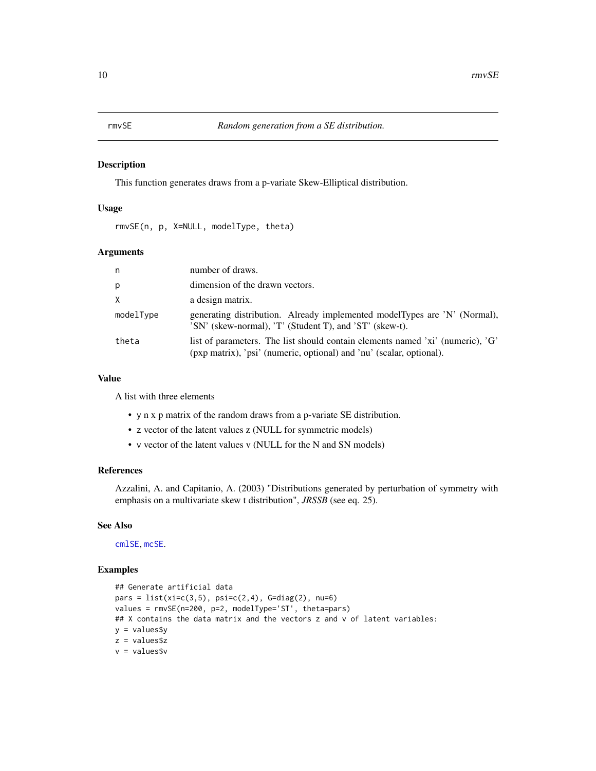<span id="page-9-1"></span><span id="page-9-0"></span>

This function generates draws from a p-variate Skew-Elliptical distribution.

#### Usage

rmvSE(n, p, X=NULL, modelType, theta)

#### Arguments

| n         | number of draws.                                                                                                                                       |
|-----------|--------------------------------------------------------------------------------------------------------------------------------------------------------|
| p         | dimension of the drawn vectors.                                                                                                                        |
| X         | a design matrix.                                                                                                                                       |
| modelType | generating distribution. Already implemented modelTypes are 'N' (Normal),<br>'SN' (skew-normal), 'T' (Student T), and 'ST' (skew-t).                   |
| theta     | list of parameters. The list should contain elements named 'xi' (numeric), 'G'<br>(pxp matrix), 'psi' (numeric, optional) and 'nu' (scalar, optional). |

#### Value

A list with three elements

- y n x p matrix of the random draws from a p-variate SE distribution.
- z vector of the latent values z (NULL for symmetric models)
- v vector of the latent values v (NULL for the N and SN models)

#### References

Azzalini, A. and Capitanio, A. (2003) "Distributions generated by perturbation of symmetry with emphasis on a multivariate skew t distribution", *JRSSB* (see eq. 25).

#### See Also

[cmlSE](#page-3-1), [mcSE](#page-5-1).

```
## Generate artificial data
pars = list(xi=c(3,5), psi=c(2,4), G=diag(2), nu=6)values = rmvSE(n=200, p=2, modelType='ST', theta=pars)
## X contains the data matrix and the vectors z and v of latent variables:
y = values$y
z = values$z
v = values$v
```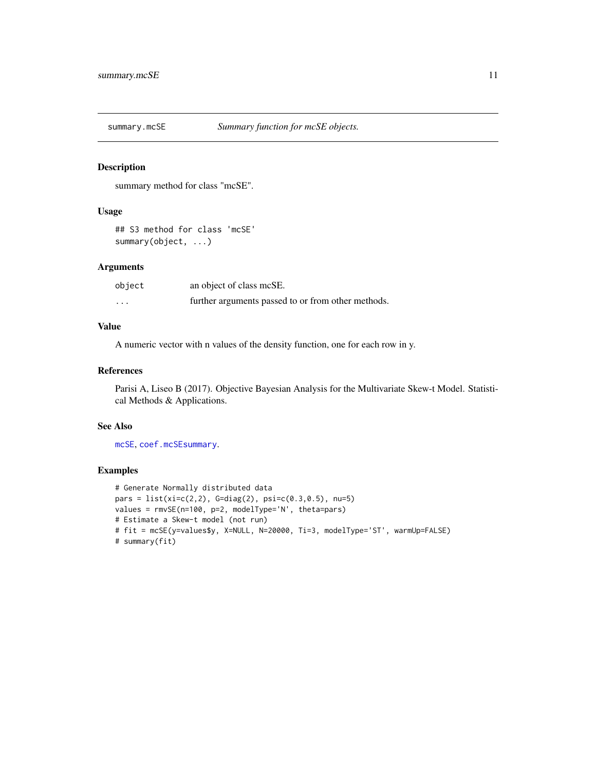<span id="page-10-1"></span><span id="page-10-0"></span>

summary method for class "mcSE".

#### Usage

## S3 method for class 'mcSE' summary(object, ...)

#### Arguments

| object   | an object of class mcSE.                           |
|----------|----------------------------------------------------|
| $\cdots$ | further arguments passed to or from other methods. |

### Value

A numeric vector with n values of the density function, one for each row in y.

#### References

Parisi A, Liseo B (2017). Objective Bayesian Analysis for the Multivariate Skew-t Model. Statistical Methods & Applications.

#### See Also

[mcSE](#page-5-1), [coef.mcSEsummary](#page-4-2).

```
# Generate Normally distributed data
pars = list(xi=c(2,2), G=diag(2), psi=c(0.3,0.5), nu=5)values = rmvSE(n=100, p=2, modelType='N', theta=pars)
# Estimate a Skew-t model (not run)
# fit = mcSE(y=values$y, X=NULL, N=20000, Ti=3, modelType='ST', warmUp=FALSE)
# summary(fit)
```